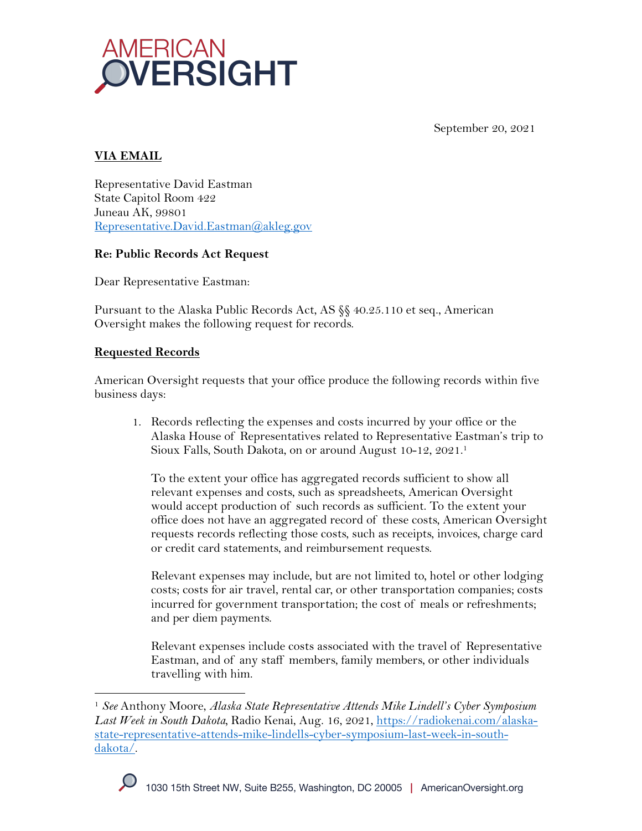

September 20, 2021

# **VIA EMAIL**

Representative David Eastman State Capitol Room 422 Juneau AK, 99801 Representative.David.Eastman@akleg.gov

### **Re: Public Records Act Request**

Dear Representative Eastman:

Pursuant to the Alaska Public Records Act, AS §§ 40.25.110 et seq., American Oversight makes the following request for records.

### **Requested Records**

American Oversight requests that your office produce the following records within five business days:

1. Records reflecting the expenses and costs incurred by your office or the Alaska House of Representatives related to Representative Eastman's trip to Sioux Falls, South Dakota, on or around August 10-12, 2021. 1

To the extent your office has aggregated records sufficient to show all relevant expenses and costs, such as spreadsheets, American Oversight would accept production of such records as sufficient. To the extent your office does not have an aggregated record of these costs, American Oversight requests records reflecting those costs, such as receipts, invoices, charge card or credit card statements, and reimbursement requests.

Relevant expenses may include, but are not limited to, hotel or other lodging costs; costs for air travel, rental car, or other transportation companies; costs incurred for government transportation; the cost of meals or refreshments; and per diem payments.

Relevant expenses include costs associated with the travel of Representative Eastman, and of any staff members, family members, or other individuals travelling with him.

<sup>1</sup> *See* Anthony Moore, *Alaska State Representative Attends Mike Lindell's Cyber Symposium Last Week in South Dakota,* Radio Kenai, Aug. 16, 2021, https://radiokenai.com/alaskastate-representative-attends-mike-lindells-cyber-symposium-last-week-in-southdakota/.

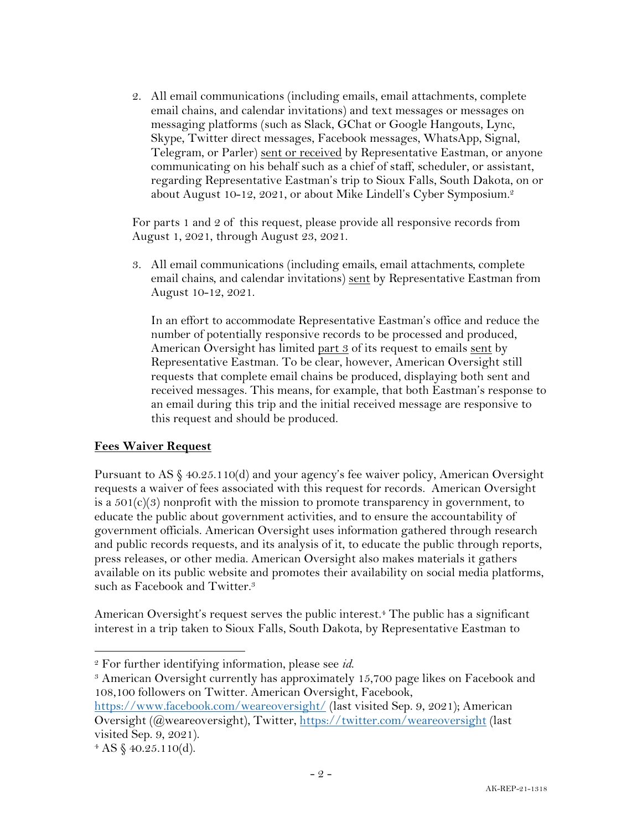2. All email communications (including emails, email attachments, complete email chains, and calendar invitations) and text messages or messages on messaging platforms (such as Slack, GChat or Google Hangouts, Lync, Skype, Twitter direct messages, Facebook messages, WhatsApp, Signal, Telegram, or Parler) sent or received by Representative Eastman, or anyone communicating on his behalf such as a chief of staff, scheduler, or assistant, regarding Representative Eastman's trip to Sioux Falls, South Dakota, on or about August 10-12, 2021, or about Mike Lindell's Cyber Symposium. 2

For parts 1 and 2 of this request, please provide all responsive records from August 1, 2021, through August 23, 2021.

3. All email communications (including emails, email attachments, complete email chains, and calendar invitations) sent by Representative Eastman from August 10-12, 2021.

In an effort to accommodate Representative Eastman's office and reduce the number of potentially responsive records to be processed and produced, American Oversight has limited part 3 of its request to emails sent by Representative Eastman. To be clear, however, American Oversight still requests that complete email chains be produced, displaying both sent and received messages. This means, for example, that both Eastman's response to an email during this trip and the initial received message are responsive to this request and should be produced.

#### **Fees Waiver Request**

Pursuant to AS  $\S 40.25.110(d)$  and your agency's fee waiver policy, American Oversight requests a waiver of fees associated with this request for records. American Oversight is a  $501(c)(3)$  nonprofit with the mission to promote transparency in government, to educate the public about government activities, and to ensure the accountability of government officials. American Oversight uses information gathered through research and public records requests, and its analysis of it, to educate the public through reports, press releases, or other media. American Oversight also makes materials it gathers available on its public website and promotes their availability on social media platforms, such as Facebook and Twitter.<sup>3</sup>

American Oversight's request serves the public interest.<sup>4</sup> The public has a significant interest in a trip taken to Sioux Falls, South Dakota, by Representative Eastman to

<sup>&</sup>lt;sup>2</sup> For further identifying information, please see *id*.<br><sup>3</sup> American Oversight currently has approximately 15,700 page likes on Facebook and 108,100 followers on Twitter. American Oversight, Facebook,

https://www.facebook.com/weareoversight/ (last visited Sep. 9, 2021); American Oversight (@weareoversight), Twitter, https://twitter.com/weareoversight (last visited Sep. 9, 2021).

 $4 AS \$  40.25.110(d).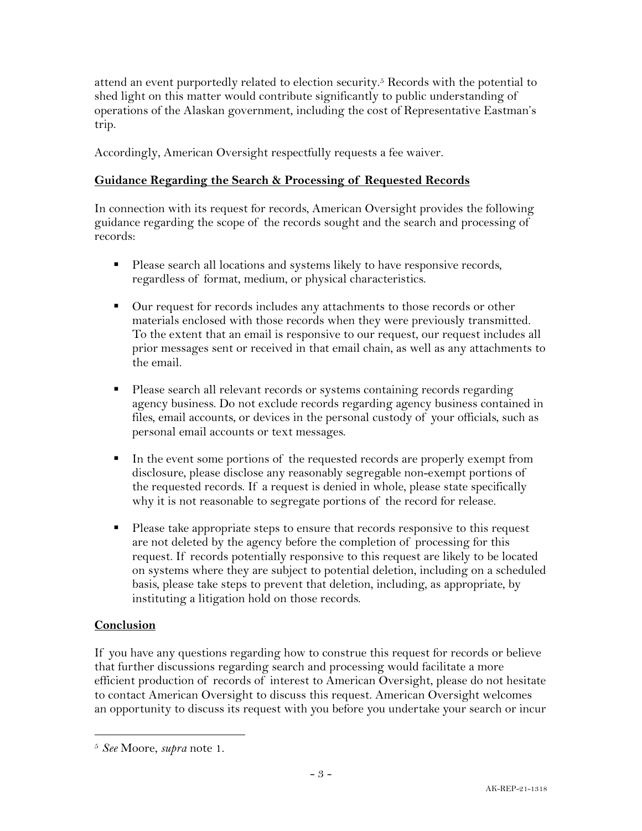attend an event purportedly related to election security. <sup>5</sup> Records with the potential to shed light on this matter would contribute significantly to public understanding of operations of the Alaskan government, including the cost of Representative Eastman's trip.

Accordingly, American Oversight respectfully requests a fee waiver.

## **Guidance Regarding the Search & Processing of Requested Records**

In connection with its request for records, American Oversight provides the following guidance regarding the scope of the records sought and the search and processing of records:

- Please search all locations and systems likely to have responsive records, regardless of format, medium, or physical characteristics.
- Our request for records includes any attachments to those records or other materials enclosed with those records when they were previously transmitted. To the extent that an email is responsive to our request, our request includes all prior messages sent or received in that email chain, as well as any attachments to the email.
- Please search all relevant records or systems containing records regarding agency business. Do not exclude records regarding agency business contained in files, email accounts, or devices in the personal custody of your officials, such as personal email accounts or text messages.
- In the event some portions of the requested records are properly exempt from disclosure, please disclose any reasonably segregable non-exempt portions of the requested records. If a request is denied in whole, please state specifically why it is not reasonable to segregate portions of the record for release.
- § Please take appropriate steps to ensure that records responsive to this request are not deleted by the agency before the completion of processing for this request. If records potentially responsive to this request are likely to be located on systems where they are subject to potential deletion, including on a scheduled basis, please take steps to prevent that deletion, including, as appropriate, by instituting a litigation hold on those records.

## **Conclusion**

If you have any questions regarding how to construe this request for records or believe that further discussions regarding search and processing would facilitate a more efficient production of records of interest to American Oversight, please do not hesitate to contact American Oversight to discuss this request. American Oversight welcomes an opportunity to discuss its request with you before you undertake your search or incur

<sup>5</sup> *See* Moore, *supra* note 1.